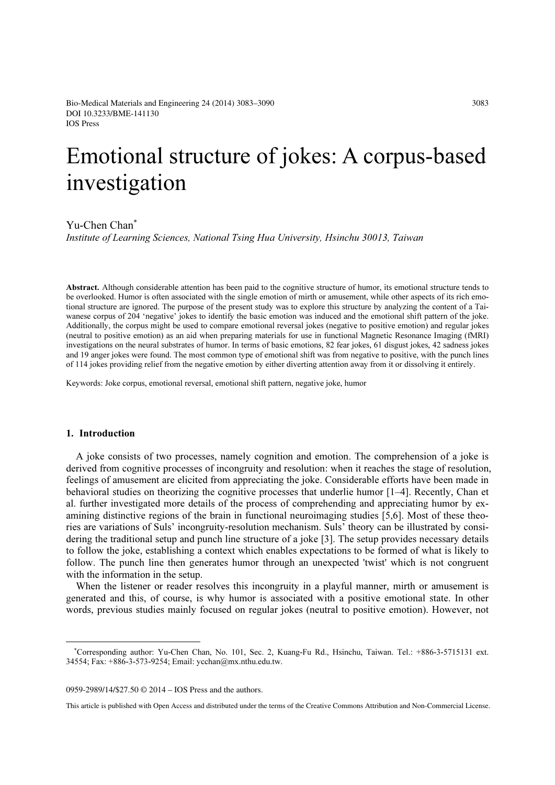# Emotional structure of jokes: A corpus-based investigation

Yu-Chen Chan<sup>∗</sup>

Institute of Learning Sciences, National Tsing Hua University, Hsinchu 30013, Taiwan

Abstract. Although considerable attention has been paid to the cognitive structure of humor, its emotional structure tends to be overlooked. Humor is often associated with the single emotion of mirth or amusement, while other aspects of its rich emotional structure are ignored. The purpose of the present study was to explore this structure by analyzing the content of a Taiwanese corpus of 204 'negative' jokes to identify the basic emotion was induced and the emotional shift pattern of the joke. Additionally, the corpus might be used to compare emotional reversal jokes (negative to positive emotion) and regular jokes (neutral to positive emotion) as an aid when preparing materials for use in functional Magnetic Resonance Imaging (fMRI) investigations on the neural substrates of humor. In terms of basic emotions, 82 fear jokes, 61 disgust jokes, 42 sadness jokes and 19 anger jokes were found. The most common type of emotional shift was from negative to positive, with the punch lines of 114 jokes providing relief from the negative emotion by either diverting attention away from it or dissolving it entirely.

Keywords: Joke corpus, emotional reversal, emotional shift pattern, negative joke, humor

# 1. Introduction

A joke consists of two processes, namely cognition and emotion. The comprehension of a joke is derived from cognitive processes of incongruity and resolution: when it reaches the stage of resolution, feelings of amusement are elicited from appreciating the joke. Considerable efforts have been made in behavioral studies on theorizing the cognitive processes that underlie humor [1–4]. Recently, Chan et al. further investigated more details of the process of comprehending and appreciating humor by examining distinctive regions of the brain in functional neuroimaging studies [5,6]. Most of these theories are variations of Suls' incongruity-resolution mechanism. Suls' theory can be illustrated by considering the traditional setup and punch line structure of a joke [3]. The setup provides necessary details to follow the joke, establishing a context which enables expectations to be formed of what is likely to follow. The punch line then generates humor through an unexpected 'twist' which is not congruent with the information in the setup.

When the listener or reader resolves this incongruity in a playful manner, mirth or amusement is generated and this, of course, is why humor is associated with a positive emotional state. In other words, previous studies mainly focused on regular jokes (neutral to positive emotion). However, not

0959-2989/14/\$27.50 © 2014 – IOS Press and the authors.

This article is published with Open Access and distributed under the terms of the Creative Commons Attribution and Non-Commercial License.

∗ Corresponding author: Yu-Chen Chan, No. 101, Sec. 2, Kuang-Fu Rd., Hsinchu, Taiwan. Tel.: +886-3-5715131 ext. 34554; Fax: +886-3-573-9254; Email: ycchan@mx.nthu.edu.tw.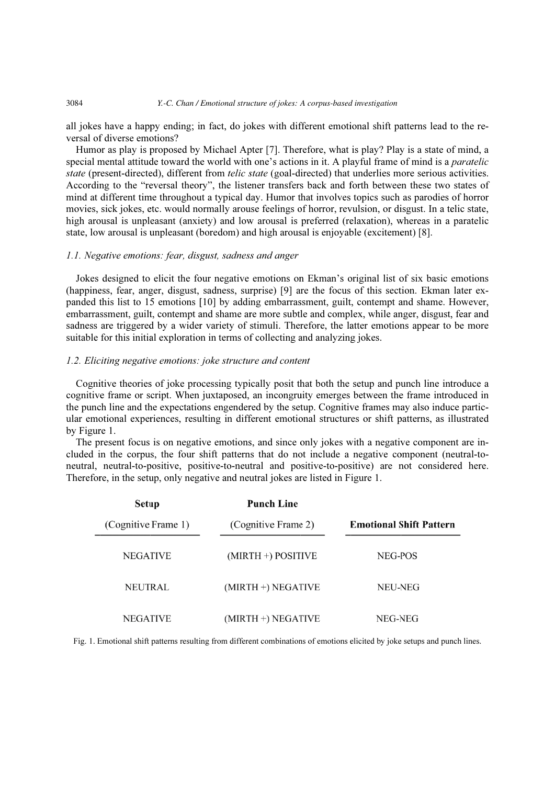#### 3084 *Y.-C. Chan / Emotional structure of jokes: A corpus-based investigation*

all jokes have a happy ending; in fact, do jokes with different emotional shift patterns lead to the reversal of diverse emotions?

Humor as play is proposed by Michael Apter [7]. Therefore, what is play? Play is a state of mind, a special mental attitude toward the world with one's actions in it. A playful frame of mind is a *paratelic* state (present-directed), different from telic state (goal-directed) that underlies more serious activities. According to the "reversal theory", the listener transfers back and forth between these two states of mind at different time throughout a typical day. Humor that involves topics such as parodies of horror movies, sick jokes, etc. would normally arouse feelings of horror, revulsion, or disgust. In a telic state, high arousal is unpleasant (anxiety) and low arousal is preferred (relaxation), whereas in a paratelic state, low arousal is unpleasant (boredom) and high arousal is enjoyable (excitement) [8].

# 1.1. Negative emotions: fear, disgust, sadness and anger

Jokes designed to elicit the four negative emotions on Ekman's original list of six basic emotions (happiness, fear, anger, disgust, sadness, surprise) [9] are the focus of this section. Ekman later expanded this list to 15 emotions [10] by adding embarrassment, guilt, contempt and shame. However, embarrassment, guilt, contempt and shame are more subtle and complex, while anger, disgust, fear and sadness are triggered by a wider variety of stimuli. Therefore, the latter emotions appear to be more suitable for this initial exploration in terms of collecting and analyzing jokes.

# 1.2. Eliciting negative emotions: joke structure and content

Cognitive theories of joke processing typically posit that both the setup and punch line introduce a cognitive frame or script. When juxtaposed, an incongruity emerges between the frame introduced in the punch line and the expectations engendered by the setup. Cognitive frames may also induce particular emotional experiences, resulting in different emotional structures or shift patterns, as illustrated by Figure 1.

The present focus is on negative emotions, and since only jokes with a negative component are included in the corpus, the four shift patterns that do not include a negative component (neutral-toneutral, neutral-to-positive, positive-to-neutral and positive-to-positive) are not considered here. Therefore, in the setup, only negative and neutral jokes are listed in Figure 1.

| <b>Setup</b>        |                      |                                |  |  |
|---------------------|----------------------|--------------------------------|--|--|
| (Cognitive Frame 1) | (Cognitive Frame 2)  | <b>Emotional Shift Pattern</b> |  |  |
| <b>NEGATIVE</b>     | $(MIRTH +)$ POSITIVE | NEG-POS                        |  |  |
| <b>NEUTRAL</b>      | $(MIRTH +) NEGATIVE$ | NEU-NEG                        |  |  |
| <b>NEGATIVE</b>     | $(MIRTH +) NEGATIVE$ | NEG-NEG                        |  |  |

Fig. 1. Emotional shift patterns resulting from different combinations of emotions elicited by joke setups and punch lines.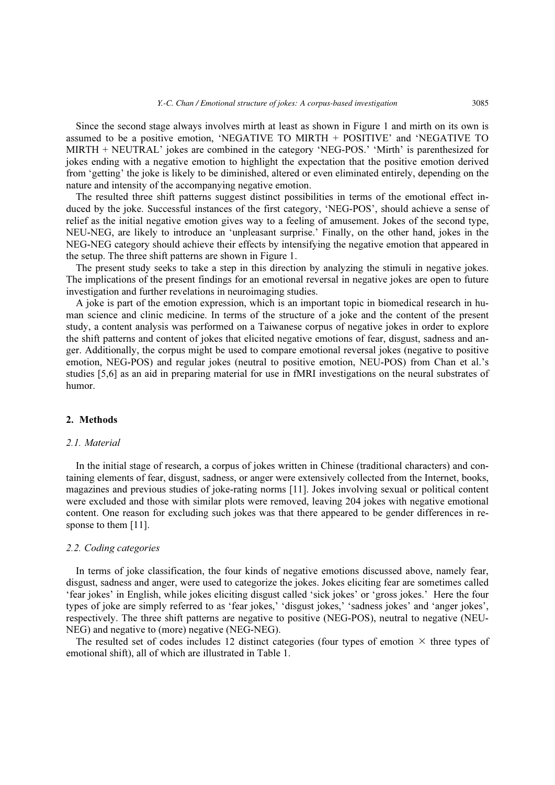Since the second stage always involves mirth at least as shown in Figure 1 and mirth on its own is assumed to be a positive emotion, 'NEGATIVE TO MIRTH + POSITIVE' and 'NEGATIVE TO MIRTH + NEUTRAL' jokes are combined in the category 'NEG-POS.' 'Mirth' is parenthesized for jokes ending with a negative emotion to highlight the expectation that the positive emotion derived from 'getting' the joke is likely to be diminished, altered or even eliminated entirely, depending on the nature and intensity of the accompanying negative emotion.

The resulted three shift patterns suggest distinct possibilities in terms of the emotional effect induced by the joke. Successful instances of the first category, 'NEG-POS', should achieve a sense of relief as the initial negative emotion gives way to a feeling of amusement. Jokes of the second type, NEU-NEG, are likely to introduce an 'unpleasant surprise.' Finally, on the other hand, jokes in the NEG-NEG category should achieve their effects by intensifying the negative emotion that appeared in the setup. The three shift patterns are shown in Figure 1.

The present study seeks to take a step in this direction by analyzing the stimuli in negative jokes. The implications of the present findings for an emotional reversal in negative jokes are open to future investigation and further revelations in neuroimaging studies.

A joke is part of the emotion expression, which is an important topic in biomedical research in human science and clinic medicine. In terms of the structure of a joke and the content of the present study, a content analysis was performed on a Taiwanese corpus of negative jokes in order to explore the shift patterns and content of jokes that elicited negative emotions of fear, disgust, sadness and anger. Additionally, the corpus might be used to compare emotional reversal jokes (negative to positive emotion, NEG-POS) and regular jokes (neutral to positive emotion, NEU-POS) from Chan et al.'s studies [5,6] as an aid in preparing material for use in fMRI investigations on the neural substrates of humor.

#### 2. Methods

# 2.1. Material

In the initial stage of research, a corpus of jokes written in Chinese (traditional characters) and containing elements of fear, disgust, sadness, or anger were extensively collected from the Internet, books, magazines and previous studies of joke-rating norms [11]. Jokes involving sexual or political content were excluded and those with similar plots were removed, leaving 204 jokes with negative emotional content. One reason for excluding such jokes was that there appeared to be gender differences in response to them [11].

# 2.2. Coding categories

In terms of joke classification, the four kinds of negative emotions discussed above, namely fear, disgust, sadness and anger, were used to categorize the jokes. Jokes eliciting fear are sometimes called 'fear jokes' in English, while jokes eliciting disgust called 'sick jokes' or 'gross jokes.' Here the four types of joke are simply referred to as 'fear jokes,' 'disgust jokes,' 'sadness jokes' and 'anger jokes', respectively. The three shift patterns are negative to positive (NEG-POS), neutral to negative (NEU-NEG) and negative to (more) negative (NEG-NEG).

The resulted set of codes includes 12 distinct categories (four types of emotion  $\times$  three types of emotional shift), all of which are illustrated in Table 1.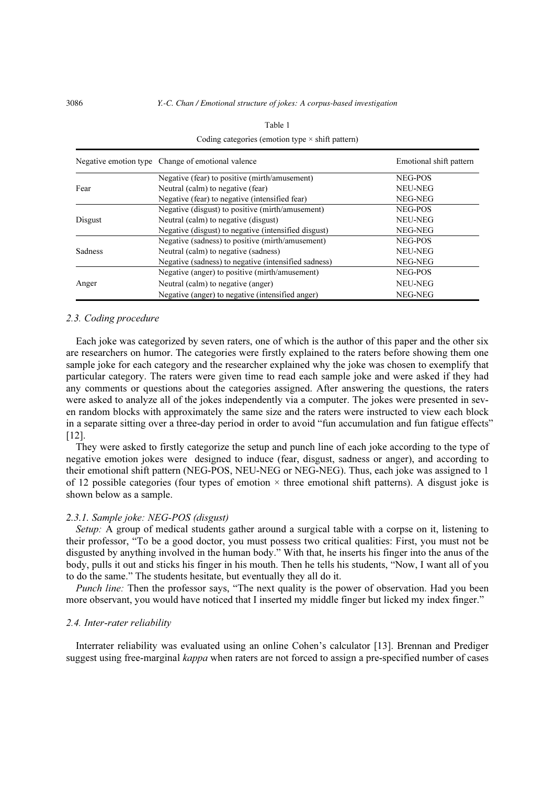|                | Negative emotion type Change of emotional valence    | Emotional shift pattern |  |  |
|----------------|------------------------------------------------------|-------------------------|--|--|
|                | Negative (fear) to positive (mirth/amusement)        | NEG-POS                 |  |  |
| Fear           | Neutral (calm) to negative (fear)                    | NEU-NEG                 |  |  |
|                | Negative (fear) to negative (intensified fear)       | NEG-NEG                 |  |  |
|                | Negative (disgust) to positive (mirth/amusement)     | NEG-POS                 |  |  |
| Disgust        | Neutral (calm) to negative (disgust)                 | NEU-NEG                 |  |  |
|                | Negative (disgust) to negative (intensified disgust) | NEG-NEG                 |  |  |
|                | Negative (sadness) to positive (mirth/amusement)     | NEG-POS                 |  |  |
| <b>Sadness</b> | Neutral (calm) to negative (sadness)                 | NEU-NEG                 |  |  |
|                | Negative (sadness) to negative (intensified sadness) | NEG-NEG                 |  |  |
|                | Negative (anger) to positive (mirth/amusement)       | NEG-POS                 |  |  |
| Anger          | Neutral (calm) to negative (anger)                   | NEU-NEG                 |  |  |
|                | Negative (anger) to negative (intensified anger)     | NEG-NEG                 |  |  |

| Table 1                                                 |
|---------------------------------------------------------|
| Coding categories (emotion type $\times$ shift pattern) |

#### 2.3. Coding procedure

Each joke was categorized by seven raters, one of which is the author of this paper and the other six are researchers on humor. The categories were firstly explained to the raters before showing them one sample joke for each category and the researcher explained why the joke was chosen to exemplify that particular category. The raters were given time to read each sample joke and were asked if they had any comments or questions about the categories assigned. After answering the questions, the raters were asked to analyze all of the jokes independently via a computer. The jokes were presented in seven random blocks with approximately the same size and the raters were instructed to view each block in a separate sitting over a three-day period in order to avoid "fun accumulation and fun fatigue effects" [12].

They were asked to firstly categorize the setup and punch line of each joke according to the type of negative emotion jokes were designed to induce (fear, disgust, sadness or anger), and according to their emotional shift pattern (NEG-POS, NEU-NEG or NEG-NEG). Thus, each joke was assigned to 1 of 12 possible categories (four types of emotion  $\times$  three emotional shift patterns). A disgust joke is shown below as a sample.

## 2.3.1. Sample joke: NEG-POS (disgust)

Setup: A group of medical students gather around a surgical table with a corpse on it, listening to their professor, "To be a good doctor, you must possess two critical qualities: First, you must not be disgusted by anything involved in the human body." With that, he inserts his finger into the anus of the body, pulls it out and sticks his finger in his mouth. Then he tells his students, "Now, I want all of you to do the same." The students hesitate, but eventually they all do it.

Punch line: Then the professor says, "The next quality is the power of observation. Had you been more observant, you would have noticed that I inserted my middle finger but licked my index finger."

# 2.4. Inter-rater reliability

Interrater reliability was evaluated using an online Cohen's calculator [13]. Brennan and Prediger suggest using free-marginal *kappa* when raters are not forced to assign a pre-specified number of cases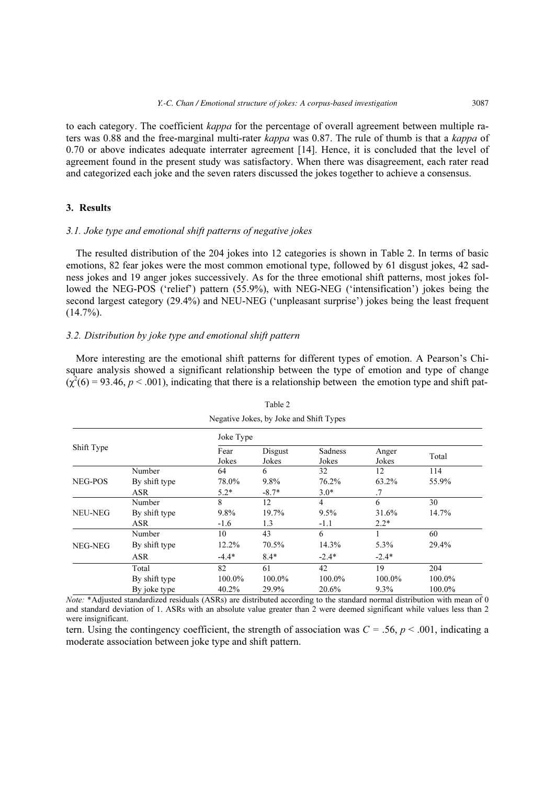to each category. The coefficient kappa for the percentage of overall agreement between multiple raters was 0.88 and the free-marginal multi-rater kappa was 0.87. The rule of thumb is that a kappa of 0.70 or above indicates adequate interrater agreement [14]. Hence, it is concluded that the level of agreement found in the present study was satisfactory. When there was disagreement, each rater read and categorized each joke and the seven raters discussed the jokes together to achieve a consensus.

# 3. Results

# 3.1. Joke type and emotional shift patterns of negative jokes

The resulted distribution of the 204 jokes into 12 categories is shown in Table 2. In terms of basic emotions, 82 fear jokes were the most common emotional type, followed by 61 disgust jokes, 42 sadness jokes and 19 anger jokes successively. As for the three emotional shift patterns, most jokes followed the NEG-POS ('relief') pattern (55.9%), with NEG-NEG ('intensification') jokes being the second largest category (29.4%) and NEU-NEG ('unpleasant surprise') jokes being the least frequent  $(14.7\%)$ .

# 3.2. Distribution by joke type and emotional shift pattern

More interesting are the emotional shift patterns for different types of emotion. A Pearson's Chisquare analysis showed a significant relationship between the type of emotion and type of change  $(\chi^2(6) = 93.46, p < .001)$ , indicating that there is a relationship between the emotion type and shift pat-

| Negative Jokes, by Joke and Shift Types |               |               |                  |                         |                |        |  |  |
|-----------------------------------------|---------------|---------------|------------------|-------------------------|----------------|--------|--|--|
|                                         |               | Joke Type     |                  |                         |                |        |  |  |
| Shift Type                              |               | Fear<br>Jokes | Disgust<br>Jokes | <b>Sadness</b><br>Jokes | Anger<br>Jokes | Total  |  |  |
|                                         | Number        | 64            | 6                | 32                      | 12             | 114    |  |  |
| NEG-POS                                 | By shift type | 78.0%         | 9.8%             | 76.2%                   | 63.2%          | 55.9%  |  |  |
|                                         | <b>ASR</b>    | $5.2*$        | $-8.7*$          | $3.0*$                  | .7             |        |  |  |
|                                         | Number        | 8             | 12               | 4                       | 6              | 30     |  |  |
| NEU-NEG                                 | By shift type | 9.8%          | 19.7%            | 9.5%                    | 31.6%          | 14.7%  |  |  |
|                                         | <b>ASR</b>    | $-1.6$        | 1.3              | $-1.1$                  | $2.2*$         |        |  |  |
|                                         | Number        | 10            | 43               | 6                       |                | 60     |  |  |
| NEG-NEG                                 | By shift type | 12.2%         | 70.5%            | 14.3%                   | 5.3%           | 29.4%  |  |  |
|                                         | <b>ASR</b>    | $-4.4*$       | $8.4*$           | $-2.4*$                 | $-2.4*$        |        |  |  |
|                                         | Total         | 82            | 61               | 42                      | 19             | 204    |  |  |
|                                         | By shift type | 100.0%        | 100.0%           | 100.0%                  | 100.0%         | 100.0% |  |  |
|                                         | By joke type  | 40.2%         | 29.9%            | 20.6%                   | $9.3\%$        | 100.0% |  |  |

Table 2

Note: \*Adjusted standardized residuals (ASRs) are distributed according to the standard normal distribution with mean of 0 and standard deviation of 1. ASRs with an absolute value greater than 2 were deemed significant while values less than 2 were insignificant.

tern. Using the contingency coefficient, the strength of association was  $C = 0.56$ ,  $p < 0.001$ , indicating a moderate association between joke type and shift pattern.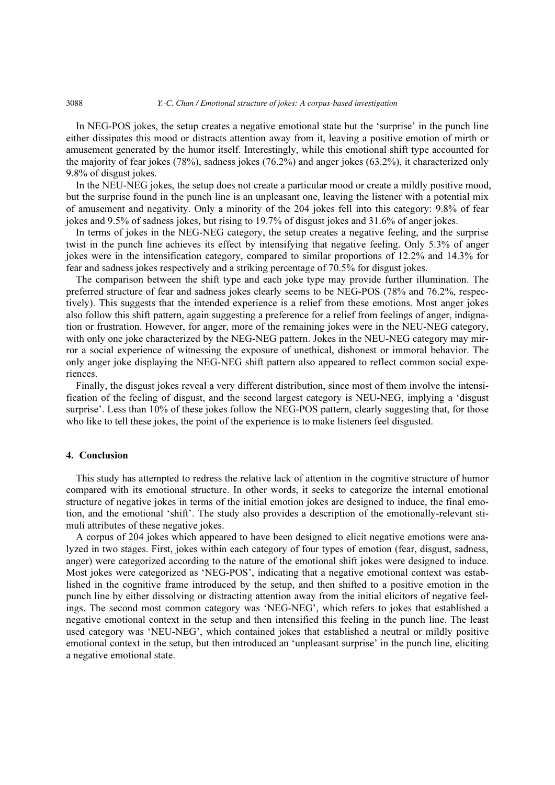#### 3088 *Y.-C. Chan / Emotional structure of jokes: A corpus-based investigation*

In NEG-POS jokes, the setup creates a negative emotional state but the 'surprise' in the punch line either dissipates this mood or distracts attention away from it, leaving a positive emotion of mirth or amusement generated by the humor itself. Interestingly, while this emotional shift type accounted for the majority of fear jokes (78%), sadness jokes (76.2%) and anger jokes (63.2%), it characterized only 9.8% of disgust jokes.

In the NEU-NEG jokes, the setup does not create a particular mood or create a mildly positive mood, but the surprise found in the punch line is an unpleasant one, leaving the listener with a potential mix of amusement and negativity. Only a minority of the 204 jokes fell into this category: 9.8% of fear jokes and 9.5% of sadness jokes, but rising to 19.7% of disgust jokes and 31.6% of anger jokes.

In terms of jokes in the NEG-NEG category, the setup creates a negative feeling, and the surprise twist in the punch line achieves its effect by intensifying that negative feeling. Only 5.3% of anger jokes were in the intensification category, compared to similar proportions of 12.2% and 14.3% for fear and sadness jokes respectively and a striking percentage of 70.5% for disgust jokes.

The comparison between the shift type and each joke type may provide further illumination. The preferred structure of fear and sadness jokes clearly seems to be NEG-POS (78% and 76.2%, respectively). This suggests that the intended experience is a relief from these emotions. Most anger jokes also follow this shift pattern, again suggesting a preference for a relief from feelings of anger, indignation or frustration. However, for anger, more of the remaining jokes were in the NEU-NEG category, with only one joke characterized by the NEG-NEG pattern. Jokes in the NEU-NEG category may mirror a social experience of witnessing the exposure of unethical, dishonest or immoral behavior. The only anger joke displaying the NEG-NEG shift pattern also appeared to reflect common social experiences.

Finally, the disgust jokes reveal a very different distribution, since most of them involve the intensification of the feeling of disgust, and the second largest category is NEU-NEG, implying a 'disgust surprise'. Less than 10% of these jokes follow the NEG-POS pattern, clearly suggesting that, for those who like to tell these jokes, the point of the experience is to make listeners feel disgusted.

# 4. Conclusion

This study has attempted to redress the relative lack of attention in the cognitive structure of humor compared with its emotional structure. In other words, it seeks to categorize the internal emotional structure of negative jokes in terms of the initial emotion jokes are designed to induce, the final emotion, and the emotional 'shift'. The study also provides a description of the emotionally-relevant stimuli attributes of these negative jokes.

A corpus of 204 jokes which appeared to have been designed to elicit negative emotions were analyzed in two stages. First, jokes within each category of four types of emotion (fear, disgust, sadness, anger) were categorized according to the nature of the emotional shift jokes were designed to induce. Most jokes were categorized as 'NEG-POS', indicating that a negative emotional context was established in the cognitive frame introduced by the setup, and then shifted to a positive emotion in the punch line by either dissolving or distracting attention away from the initial elicitors of negative feelings. The second most common category was 'NEG-NEG', which refers to jokes that established a negative emotional context in the setup and then intensified this feeling in the punch line. The least used category was 'NEU-NEG', which contained jokes that established a neutral or mildly positive emotional context in the setup, but then introduced an 'unpleasant surprise' in the punch line, eliciting a negative emotional state.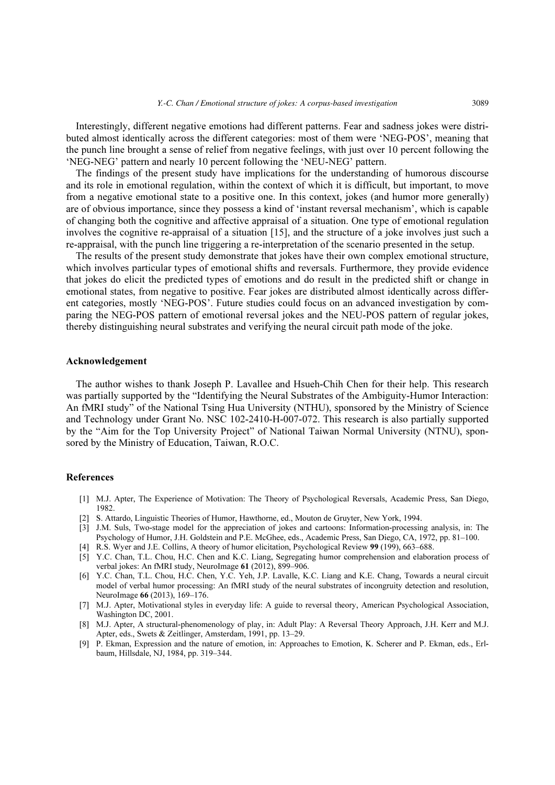Interestingly, different negative emotions had different patterns. Fear and sadness jokes were distributed almost identically across the different categories: most of them were 'NEG-POS', meaning that the punch line brought a sense of relief from negative feelings, with just over 10 percent following the 'NEG-NEG' pattern and nearly 10 percent following the 'NEU-NEG' pattern.

The findings of the present study have implications for the understanding of humorous discourse and its role in emotional regulation, within the context of which it is difficult, but important, to move from a negative emotional state to a positive one. In this context, jokes (and humor more generally) are of obvious importance, since they possess a kind of 'instant reversal mechanism', which is capable of changing both the cognitive and affective appraisal of a situation. One type of emotional regulation involves the cognitive re-appraisal of a situation [15], and the structure of a joke involves just such a re-appraisal, with the punch line triggering a re-interpretation of the scenario presented in the setup.

The results of the present study demonstrate that jokes have their own complex emotional structure, which involves particular types of emotional shifts and reversals. Furthermore, they provide evidence that jokes do elicit the predicted types of emotions and do result in the predicted shift or change in emotional states, from negative to positive. Fear jokes are distributed almost identically across different categories, mostly 'NEG-POS'. Future studies could focus on an advanced investigation by comparing the NEG-POS pattern of emotional reversal jokes and the NEU-POS pattern of regular jokes, thereby distinguishing neural substrates and verifying the neural circuit path mode of the joke.

# Acknowledgement

The author wishes to thank Joseph P. Lavallee and Hsueh-Chih Chen for their help. This research was partially supported by the "Identifying the Neural Substrates of the Ambiguity-Humor Interaction: An fMRI study" of the National Tsing Hua University (NTHU), sponsored by the Ministry of Science and Technology under Grant No. NSC 102-2410-H-007-072. This research is also partially supported by the "Aim for the Top University Project" of National Taiwan Normal University (NTNU), sponsored by the Ministry of Education, Taiwan, R.O.C.

# References

- [1] M.J. Apter, The Experience of Motivation: The Theory of Psychological Reversals, Academic Press, San Diego, 1982.
- [2] S. Attardo, Linguistic Theories of Humor, Hawthorne, ed., Mouton de Gruyter, New York, 1994.
- [3] J.M. Suls, Two-stage model for the appreciation of jokes and cartoons: Information-processing analysis, in: The Psychology of Humor, J.H. Goldstein and P.E. McGhee, eds., Academic Press, San Diego, CA, 1972, pp. 81–100.
- [4] R.S. Wyer and J.E. Collins, A theory of humor elicitation, Psychological Review 99 (199), 663–688.
- [5] Y.C. Chan, T.L. Chou, H.C. Chen and K.C. Liang, Segregating humor comprehension and elaboration process of verbal jokes: An fMRI study, NeuroImage 61 (2012), 899–906.
- [6] Y.C. Chan, T.L. Chou, H.C. Chen, Y.C. Yeh, J.P. Lavalle, K.C. Liang and K.E. Chang, Towards a neural circuit model of verbal humor processing: An fMRI study of the neural substrates of incongruity detection and resolution, NeuroImage 66 (2013), 169–176.
- [7] M.J. Apter, Motivational styles in everyday life: A guide to reversal theory, American Psychological Association, Washington DC, 2001.
- [8] M.J. Apter, A structural-phenomenology of play, in: Adult Play: A Reversal Theory Approach, J.H. Kerr and M.J. Apter, eds., Swets & Zeitlinger, Amsterdam, 1991, pp. 13–29.
- [9] P. Ekman, Expression and the nature of emotion, in: Approaches to Emotion, K. Scherer and P. Ekman, eds., Erlbaum, Hillsdale, NJ, 1984, pp. 319–344.